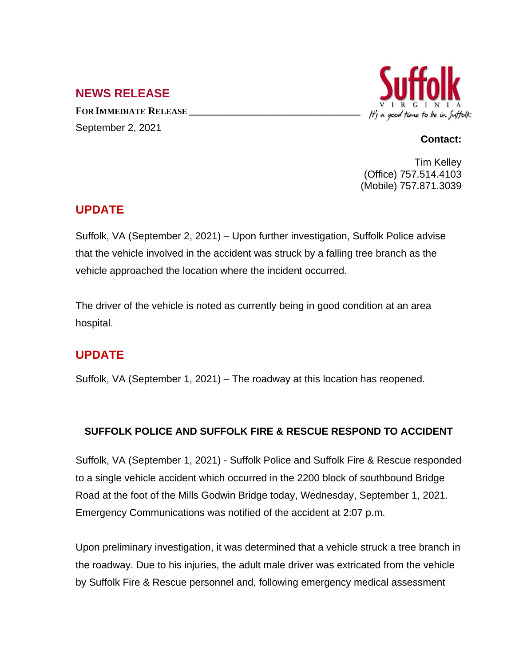### **NEWS RELEASE**

**FOR IMMEDIATE RELEASE \_\_\_\_\_\_\_\_\_\_\_\_\_\_\_\_\_\_\_\_\_\_\_\_\_\_\_\_\_\_\_\_\_\_** September 2, 2021



#### **Contact:**

Tim Kelley (Office) 757.514.4103 (Mobile) 757.871.3039

## **UPDATE**

Suffolk, VA (September 2, 2021) – Upon further investigation, Suffolk Police advise that the vehicle involved in the accident was struck by a falling tree branch as the vehicle approached the location where the incident occurred.

The driver of the vehicle is noted as currently being in good condition at an area hospital.

# **UPDATE**

Suffolk, VA (September 1, 2021) – The roadway at this location has reopened.

#### **SUFFOLK POLICE AND SUFFOLK FIRE & RESCUE RESPOND TO ACCIDENT**

Suffolk, VA (September 1, 2021) - Suffolk Police and Suffolk Fire & Rescue responded to a single vehicle accident which occurred in the 2200 block of southbound Bridge Road at the foot of the Mills Godwin Bridge today, Wednesday, September 1, 2021. Emergency Communications was notified of the accident at 2:07 p.m.

Upon preliminary investigation, it was determined that a vehicle struck a tree branch in the roadway. Due to his injuries, the adult male driver was extricated from the vehicle by Suffolk Fire & Rescue personnel and, following emergency medical assessment